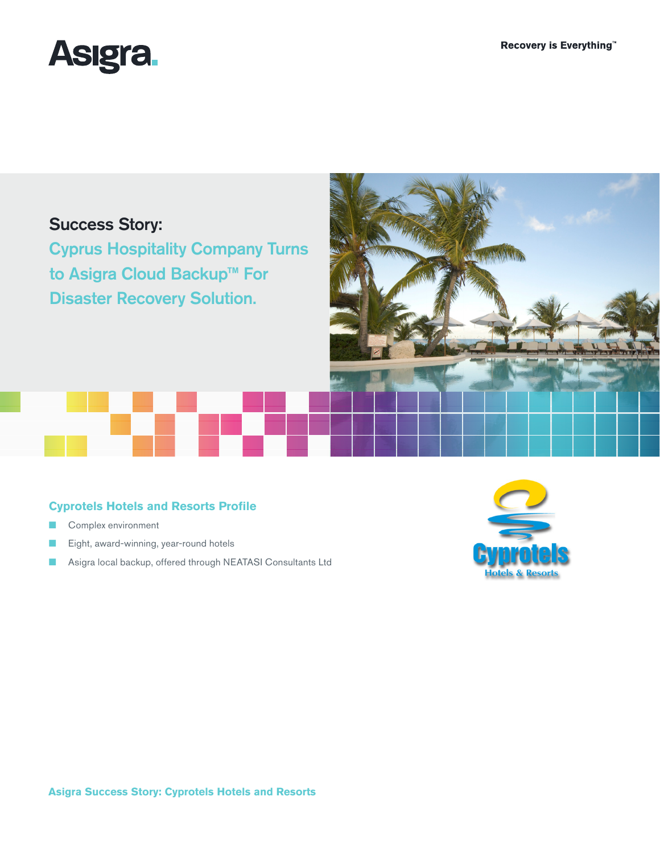

# Success Story:

Cyprus Hospitality Company Turns to Asigra Cloud Backup™ For Disaster Recovery Solution.



# **Cyprotels Hotels and Resorts Profile**

- Complex environment
- Eight, award-winning, year-round hotels
- Asigra local backup, offered through NEATASI Consultants Ltd

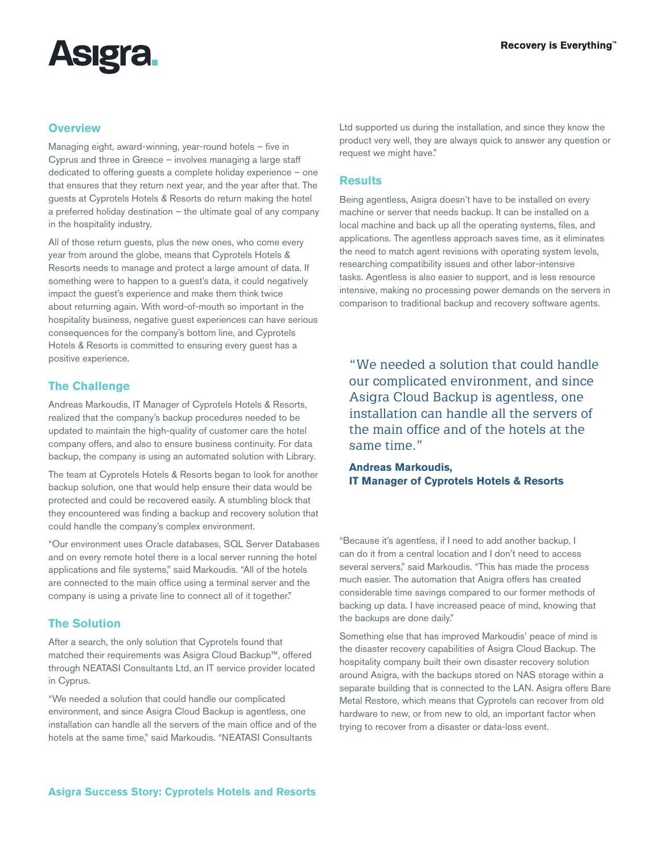

### **Overview**

Managing eight, award-winning, year-round hotels – five in Cyprus and three in Greece – involves managing a large staff dedicated to offering guests a complete holiday experience – one that ensures that they return next year, and the year after that. The guests at Cyprotels Hotels & Resorts do return making the hotel a preferred holiday destination – the ultimate goal of any company in the hospitality industry.

All of those return guests, plus the new ones, who come every year from around the globe, means that Cyprotels Hotels & Resorts needs to manage and protect a large amount of data. If something were to happen to a guest's data, it could negatively impact the guest's experience and make them think twice about returning again. With word-of-mouth so important in the hospitality business, negative guest experiences can have serious consequences for the company's bottom line, and Cyprotels Hotels & Resorts is committed to ensuring every guest has a positive experience.

# **The Challenge**

Andreas Markoudis, IT Manager of Cyprotels Hotels & Resorts, realized that the company's backup procedures needed to be updated to maintain the high-quality of customer care the hotel company offers, and also to ensure business continuity. For data backup, the company is using an automated solution with Library.

The team at Cyprotels Hotels & Resorts began to look for another backup solution, one that would help ensure their data would be protected and could be recovered easily. A stumbling block that they encountered was finding a backup and recovery solution that could handle the company's complex environment.

"Our environment uses Oracle databases, SQL Server Databases and on every remote hotel there is a local server running the hotel applications and file systems," said Markoudis. "All of the hotels are connected to the main office using a terminal server and the company is using a private line to connect all of it together."

# **The Solution**

After a search, the only solution that Cyprotels found that matched their requirements was Asigra Cloud Backup™, offered through NEATASI Consultants Ltd, an IT service provider located in Cyprus.

"We needed a solution that could handle our complicated environment, and since Asigra Cloud Backup is agentless, one installation can handle all the servers of the main office and of the hotels at the same time," said Markoudis. "NEATASI Consultants

Ltd supported us during the installation, and since they know the product very well, they are always quick to answer any question or request we might have."

## **Results**

Being agentless, Asigra doesn't have to be installed on every machine or server that needs backup. It can be installed on a local machine and back up all the operating systems, files, and applications. The agentless approach saves time, as it eliminates the need to match agent revisions with operating system levels, researching compatibility issues and other labor-intensive tasks. Agentless is also easier to support, and is less resource intensive, making no processing power demands on the servers in comparison to traditional backup and recovery software agents.

"We needed a solution that could handle our complicated environment, and since Asigra Cloud Backup is agentless, one installation can handle all the servers of the main office and of the hotels at the same time."

**Andreas Markoudis, IT Manager of Cyprotels Hotels & Resorts**

"Because it's agentless, if I need to add another backup, I can do it from a central location and I don't need to access several servers," said Markoudis. "This has made the process much easier. The automation that Asigra offers has created considerable time savings compared to our former methods of backing up data. I have increased peace of mind, knowing that the backups are done daily."

Something else that has improved Markoudis' peace of mind is the disaster recovery capabilities of Asigra Cloud Backup. The hospitality company built their own disaster recovery solution around Asigra, with the backups stored on NAS storage within a separate building that is connected to the LAN. Asigra offers Bare Metal Restore, which means that Cyprotels can recover from old hardware to new, or from new to old, an important factor when trying to recover from a disaster or data-loss event.